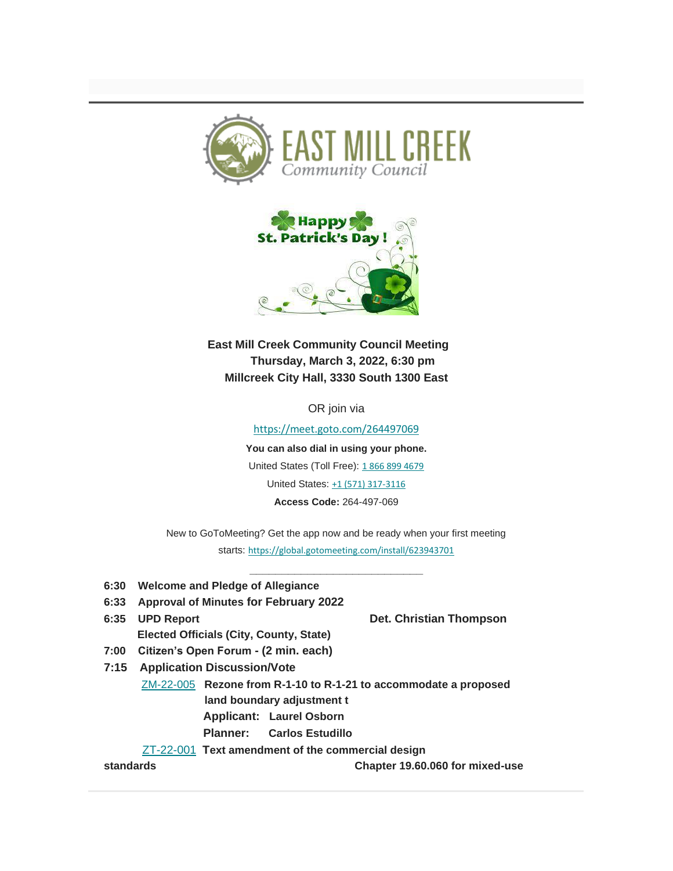



**East Mill Creek Community Council Meeting Thursday, March 3, 2022, 6:30 pm Millcreek City Hall, 3330 South 1300 East**

OR join via

[https://meet.goto.com/264497069](https://urldefense.proofpoint.com/v2/url?u=https-3A__facebook.us16.list-2Dmanage.com_track_click-3Fu-3D88b7b8af06db6edd8eafa66a3-26id-3Db5f5da8475-26e-3D908121dc53&d=DwMFaQ&c=euGZstcaTDllvimEN8b7jXrwqOf-v5A_CdpgnVfiiMM&r=n6RKFQ7CqxU7G7jpOCiZFOuC03qg2hG5u5kGPbytz8c&m=hbRkwcFT_qQ1Y9W2M9GLtmr02VxjaJCNY32jH2IVVSc&s=jBfMMGQVVHf08wlFiiv3hG1dDa4l-4zpRRdXRqV7nwg&e=)

**You can also dial in using your phone.** United States (Toll Free): [1 866 899 4679](tel:+18668994679,,264497069) United States: [+1 \(571\) 317-3116](tel:+15713173116,,264497069) **Access Code:** 264-497-069

New to GoToMeeting? Get the app now and be ready when your first meeting starts: [https://global.gotomeeting.com/install/623943701](https://urldefense.proofpoint.com/v2/url?u=https-3A__facebook.us16.list-2Dmanage.com_track_click-3Fu-3D88b7b8af06db6edd8eafa66a3-26id-3D65728bdd29-26e-3D908121dc53&d=DwMFaQ&c=euGZstcaTDllvimEN8b7jXrwqOf-v5A_CdpgnVfiiMM&r=n6RKFQ7CqxU7G7jpOCiZFOuC03qg2hG5u5kGPbytz8c&m=hbRkwcFT_qQ1Y9W2M9GLtmr02VxjaJCNY32jH2IVVSc&s=BOebIowpa23NSd_OPatTsQrLkuOvMhfQIDrWKLh10Dw&e=)

**\_\_\_\_\_\_\_\_\_\_\_\_\_\_\_\_\_\_\_\_\_\_\_\_\_\_\_**

- **6:30 Welcome and Pledge of Allegiance**
- **6:33 Approval of Minutes for February 2022**
- **6:35 UPD Report Det. Christian Thompson Elected Officials (City, County, State) 7:00 Citizen's Open Forum - (2 min. each) 7:15 Application Discussion/Vote** [ZM-22-005](https://urldefense.proofpoint.com/v2/url?u=https-3A__facebook.us16.list-2Dmanage.com_track_click-3Fu-3D88b7b8af06db6edd8eafa66a3-26id-3D371e1c76a1-26e-3D908121dc53&d=DwMFaQ&c=euGZstcaTDllvimEN8b7jXrwqOf-v5A_CdpgnVfiiMM&r=n6RKFQ7CqxU7G7jpOCiZFOuC03qg2hG5u5kGPbytz8c&m=hbRkwcFT_qQ1Y9W2M9GLtmr02VxjaJCNY32jH2IVVSc&s=Gj7fuuH7_6iULCk2-t5gaowdFUKIypMPxlZXbNGMknA&e=) **Rezone from R-1-10 to R-1-21 to accommodate a proposed land boundary adjustment t**
	- **Applicant: Laurel Osborn**
	- **Planner: Carlos Estudillo**

[ZT-22-001](https://urldefense.proofpoint.com/v2/url?u=https-3A__facebook.us16.list-2Dmanage.com_track_click-3Fu-3D88b7b8af06db6edd8eafa66a3-26id-3Da7e4af4ea6-26e-3D908121dc53&d=DwMFaQ&c=euGZstcaTDllvimEN8b7jXrwqOf-v5A_CdpgnVfiiMM&r=n6RKFQ7CqxU7G7jpOCiZFOuC03qg2hG5u5kGPbytz8c&m=hbRkwcFT_qQ1Y9W2M9GLtmr02VxjaJCNY32jH2IVVSc&s=fRdqC_r-195qs1yx5zi5SHwFDSU2doV95AkJ2fV1BQY&e=) **Text amendment of the commercial design** 

**standards Chapter 19.60.060 for mixed-use**